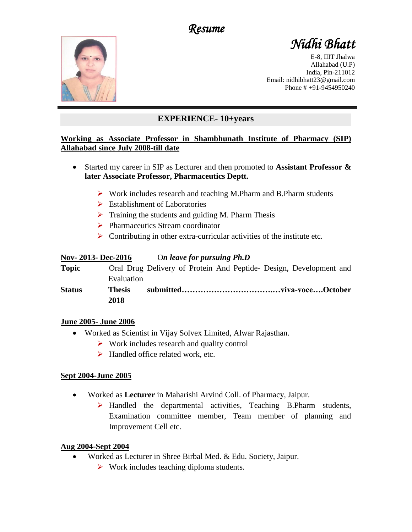*Resume* 



# *Nidhi Bhatt*

E-8, IIIT Jhalwa Allahabad (U.P) India, Pin-211012 Email: nidhibhatt23@gmail.com Phone # +91-9454950240

## **EXPERIENCE- 10+years**

### **Working as Associate Professor in Shambhunath Institute of Pharmacy (SIP) Allahabad since July 2008-till date**

- Started my career in SIP as Lecturer and then promoted to **Assistant Professor & later Associate Professor, Pharmaceutics Deptt.**
	- ➢ Work includes research and teaching M.Pharm and B.Pharm students
	- $\triangleright$  Establishment of Laboratories
	- $\triangleright$  Training the students and guiding M. Pharm Thesis
	- ➢ Pharmaceutics Stream coordinator
	- $\triangleright$  Contributing in other extra-curricular activities of the institute etc.

## **Nov- 2013- Dec-2016** O*n leave for pursuing Ph.D*

| <b>Topic</b>  |               | Oral Drug Delivery of Protein And Peptide- Design, Development and |  |  |  |
|---------------|---------------|--------------------------------------------------------------------|--|--|--|
|               | Evaluation    |                                                                    |  |  |  |
| <b>Status</b> | <b>Thesis</b> |                                                                    |  |  |  |
|               | 2018          |                                                                    |  |  |  |

#### **June 2005- June 2006**

- Worked as Scientist in Vijay Solvex Limited, Alwar Rajasthan.
	- ➢ Work includes research and quality control
	- $\blacktriangleright$  Handled office related work, etc.

## **Sept 2004-June 2005**

- Worked as **Lecturer** in Maharishi Arvind Coll. of Pharmacy, Jaipur.
	- ➢ Handled the departmental activities, Teaching B.Pharm students, Examination committee member, Team member of planning and Improvement Cell etc.

## **Aug 2004-Sept 2004**

- Worked as Lecturer in Shree Birbal Med. & Edu. Society, Jaipur.
	- $\triangleright$  Work includes teaching diploma students.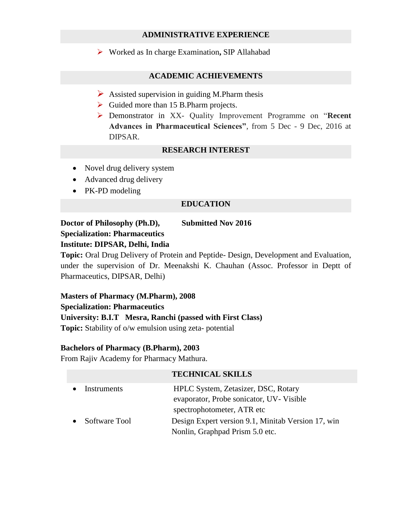#### **ADMINISTRATIVE EXPERIENCE**

➢ Worked as In charge Examination**,** SIP Allahabad

#### **ACADEMIC ACHIEVEMENTS**

- $\triangleright$  Assisted supervision in guiding M.Pharm thesis
- ➢ Guided more than 15 B.Pharm projects.
- ➢ Demonstrator in XX- Quality Improvement Programme on "**Recent Advances in Pharmaceutical Sciences"**, from 5 Dec - 9 Dec, 2016 at DIPSAR.

#### **RESEARCH INTEREST**

- Novel drug delivery system
- Advanced drug delivery
- PK-PD modeling

#### **EDUCATION**

**Doctor of Philosophy (Ph.D), Submitted Nov 2016 Specialization: Pharmaceutics Institute: DIPSAR, Delhi, India**

**Topic:** Oral Drug Delivery of Protein and Peptide- Design, Development and Evaluation, under the supervision of Dr. Meenakshi K. Chauhan (Assoc. Professor in Deptt of Pharmaceutics, DIPSAR, Delhi)

## **Masters of Pharmacy (M.Pharm), 2008**

#### **Specialization: Pharmaceutics**

#### **University: B.I.T Mesra, Ranchi (passed with First Class)**

**Topic:** Stability of o/w emulsion using zeta- potential

#### **Bachelors of Pharmacy (B.Pharm), 2003**

From Rajiv Academy for Pharmacy Mathura.

#### **TECHNICAL SKILLS**

| Instruments   | HPLC System, Zetasizer, DSC, Rotary<br>evaporator, Probe sonicator, UV-Visible   |
|---------------|----------------------------------------------------------------------------------|
| Software Tool | spectrophotometer, ATR etc<br>Design Expert version 9.1, Minitab Version 17, win |
|               | Nonlin, Graphpad Prism 5.0 etc.                                                  |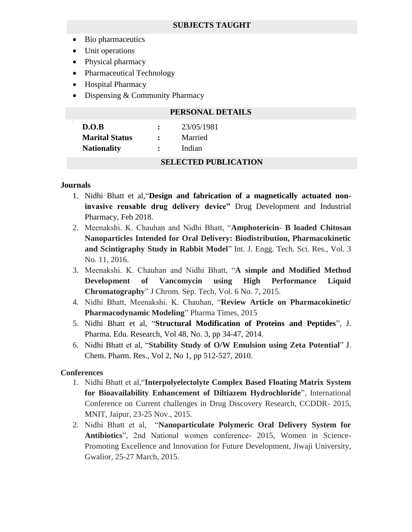- Bio pharmaceutics
- Unit operations
- Physical pharmacy
- Pharmaceutical Technology
- Hospital Pharmacy
- Dispensing & Community Pharmacy

|                       |                      | PERSONAL DETAILS            |  |
|-----------------------|----------------------|-----------------------------|--|
| $\cdot$<br>D.O.B      |                      | 23/05/1981                  |  |
| <b>Marital Status</b> | ٠                    | Married                     |  |
| <b>Nationality</b>    | $\ddot{\phantom{a}}$ | Indian                      |  |
|                       |                      | <b>SELECTED PUBLICATION</b> |  |

#### **Journals**

- 1. Nidhi Bhatt et al,"**Design and fabrication of a magnetically actuated noninvasive reusable drug delivery device"** Drug Development and Industrial Pharmacy, Feb 2018.
- 2. Meenakshi. K. Chauhan and Nidhi Bhatt, "**Amphotericin- B loaded Chitosan Nanoparticles Intended for Oral Delivery: Biodistribution, Pharmacokinetic and Scintigraphy Study in Rabbit Model**" Int. J. Engg. Tech. Sci. Res., Vol. 3 No. 11, 2016.
- 3. Meenakshi. K. Chauhan and Nidhi Bhatt, "**A simple and Modified Method Development of Vancomycin using High Performance Liquid Chromatography**" J Chrom. Sep. Tech, Vol. 6 No. 7, 2015.
- 4. Nidhi Bhatt, Meenakshi. K. Chauhan, "**Review Article on Pharmacokinetic/ Pharmacodynamic Modeling**" Pharma Times, 2015
- 5. Nidhi Bhatt et al, "**Structural Modification of Proteins and Peptides**", J. Pharma. Edu. Research, Vol 48, No. 3, pp 34-47, 2014.
- 6. Nidhi Bhatt et al, "**Stability Study of O/W Emulsion using Zeta Potential**" J. Chem. Pharm. Res., Vol 2, No 1, pp 512-527, 2010.

#### **Conferences**

- 1. Nidhi Bhatt et al,"**Interpolyelectolyte Complex Based Floating Matrix System for Bioavailability Enhancement of Diltiazem Hydrochloride**", International Conference on Current challenges in Drug Discovery Research, CCDDR- 2015, MNIT, Jaipur, 23-25 Nov., 2015.
- 2. Nidhi Bhatt et al, "**Nanoparticulate Polymeric Oral Delivery System for Antibiotics**", 2nd National women conference- 2015, Women in Science-Promoting Excellence and Innovation for Future Development, Jiwaji University, Gwalior, 25-27 March, 2015.